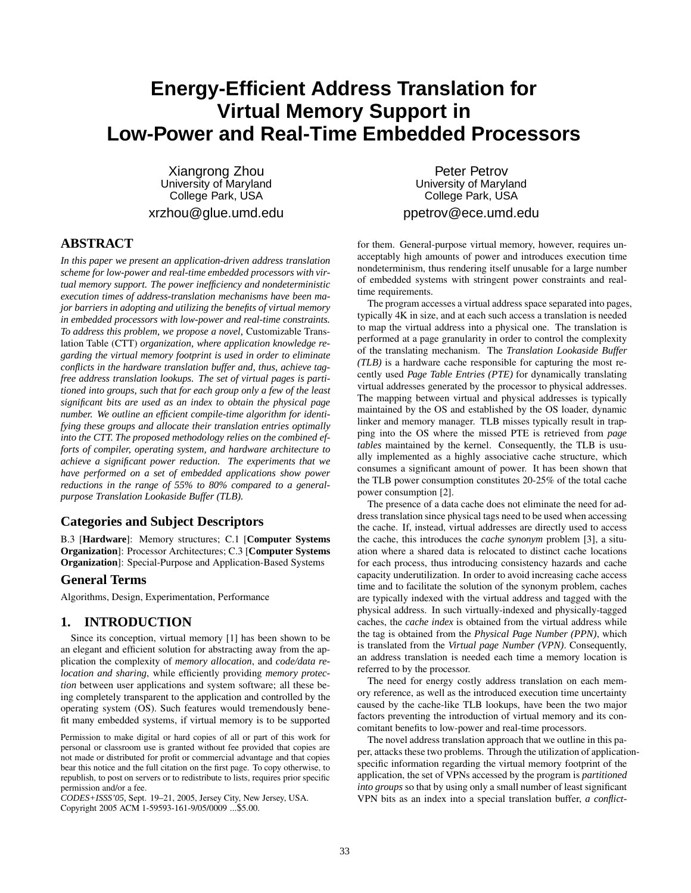# **Energy-Efficient Address Translation for Virtual Memory Support in Low-Power and Real-Time Embedded Processors**

Xiangrong Zhou University of Maryland College Park, USA xrzhou@glue.umd.edu

# **ABSTRACT**

*In this paper we present an application-driven address translation scheme for low-power and real-time embedded processors with virtual memory support. The power inefficiency and nondeterministic execution times of address-translation mechanisms have been major barriers in adopting and utilizing the benefits of virtual memory in embedded processors with low-power and real-time constraints. To address this problem, we propose a novel,* Customizable Translation Table (CTT) *organization, where application knowledge regarding the virtual memory footprint is used in order to eliminate conflicts in the hardware translation buffer and, thus, achieve tagfree address translation lookups. The set of virtual pages is partitioned into groups, such that for each group only a few of the least significant bits are used as an index to obtain the physical page number. We outline an efficient compile-time algorithm for identifying these groups and allocate their translation entries optimally into the CTT. The proposed methodology relies on the combined efforts of compiler, operating system, and hardware architecture to achieve a significant power reduction. The experiments that we have performed on a set of embedded applications show power reductions in the range of 55% to 80% compared to a generalpurpose Translation Lookaside Buffer (TLB).*

# **Categories and Subject Descriptors**

B.3 [**Hardware**]: Memory structures; C.1 [**Computer Systems Organization**]: Processor Architectures; C.3 [**Computer Systems Organization**]: Special-Purpose and Application-Based Systems

#### **General Terms**

Algorithms, Design, Experimentation, Performance

# **1. INTRODUCTION**

Since its conception, virtual memory [1] has been shown to be an elegant and efficient solution for abstracting away from the application the complexity of *memory allocation*, and *code/data relocation and sharing*, while efficiently providing *memory protection* between user applications and system software; all these being completely transparent to the application and controlled by the operating system (OS). Such features would tremendously benefit many embedded systems, if virtual memory is to be supported

*CODES+ISSS'05,* Sept. 19–21, 2005, Jersey City, New Jersey, USA. Copyright 2005 ACM 1-59593-161-9/05/0009 ...\$5.00.

Peter Petrov University of Maryland College Park, USA ppetrov@ece.umd.edu

for them. General-purpose virtual memory, however, requires unacceptably high amounts of power and introduces execution time nondeterminism, thus rendering itself unusable for a large number of embedded systems with stringent power constraints and realtime requirements.

The program accesses a virtual address space separated into pages, typically 4K in size, and at each such access a translation is needed to map the virtual address into a physical one. The translation is performed at a page granularity in order to control the complexity of the translating mechanism. The *Translation Lookaside Buffer (TLB)* is a hardware cache responsible for capturing the most recently used *Page Table Entries (PTE)* for dynamically translating virtual addresses generated by the processor to physical addresses. The mapping between virtual and physical addresses is typically maintained by the OS and established by the OS loader, dynamic linker and memory manager. TLB misses typically result in trapping into the OS where the missed PTE is retrieved from *page tables* maintained by the kernel. Consequently, the TLB is usually implemented as a highly associative cache structure, which consumes a significant amount of power. It has been shown that the TLB power consumption constitutes 20-25% of the total cache power consumption [2].

The presence of a data cache does not eliminate the need for address translation since physical tags need to be used when accessing the cache. If, instead, virtual addresses are directly used to access the cache, this introduces the *cache synonym* problem [3], a situation where a shared data is relocated to distinct cache locations for each process, thus introducing consistency hazards and cache capacity underutilization. In order to avoid increasing cache access time and to facilitate the solution of the synonym problem, caches are typically indexed with the virtual address and tagged with the physical address. In such virtually-indexed and physically-tagged caches, the *cache index* is obtained from the virtual address while the tag is obtained from the *Physical Page Number (PPN)*, which is translated from the *Virtual page Number (VPN)*. Consequently, an address translation is needed each time a memory location is referred to by the processor.

The need for energy costly address translation on each memory reference, as well as the introduced execution time uncertainty caused by the cache-like TLB lookups, have been the two major factors preventing the introduction of virtual memory and its concomitant benefits to low-power and real-time processors.

The novel address translation approach that we outline in this paper, attacks these two problems. Through the utilization of applicationspecific information regarding the virtual memory footprint of the application, the set of VPNs accessed by the program is *partitioned into groups* so that by using only a small number of least significant VPN bits as an index into a special translation buffer, *a conflict-*

Permission to make digital or hard copies of all or part of this work for personal or classroom use is granted without fee provided that copies are not made or distributed for profit or commercial advantage and that copies bear this notice and the full citation on the first page. To copy otherwise, to republish, to post on servers or to redistribute to lists, requires prior specific permission and/or a fee.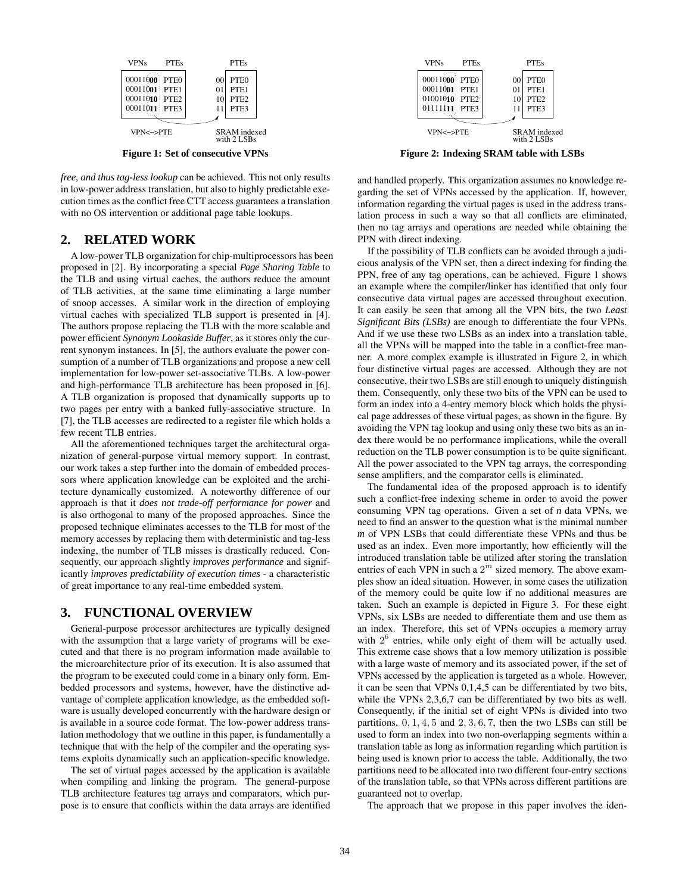| <b>VPNs</b>                                                      | <b>PTEs</b> |                      |                             | <b>PTEs</b>                                                      |  |  |  |
|------------------------------------------------------------------|-------------|----------------------|-----------------------------|------------------------------------------------------------------|--|--|--|
| 00011000 PTE0<br>00011001 PTE1<br>00011010 PTE2<br>00011011 PTE3 |             | 0 <sup>0</sup><br>01 |                             | PTE <sub>0</sub><br>PTE <sub>1</sub><br>PTE <sub>2</sub><br>PTE3 |  |  |  |
|                                                                  |             |                      |                             |                                                                  |  |  |  |
| VPN<->PTE                                                        |             |                      | SRAM indexed<br>with 2 LSBs |                                                                  |  |  |  |
|                                                                  |             |                      |                             |                                                                  |  |  |  |

**Figure 1: Set of consecutive VPNs**

*free, and thus tag-less lookup* can be achieved. This not only results in low-power address translation, but also to highly predictable execution times as the conflict free CTT access guarantees a translation with no OS intervention or additional page table lookups.

## **2. RELATED WORK**

A low-power TLB organization for chip-multiprocessors has been proposed in [2]. By incorporating a special *Page Sharing Table* to the TLB and using virtual caches, the authors reduce the amount of TLB activities, at the same time eliminating a large number of snoop accesses. A similar work in the direction of employing virtual caches with specialized TLB support is presented in [4]. The authors propose replacing the TLB with the more scalable and power efficient *Synonym Lookaside Buffer*, as it stores only the current synonym instances. In [5], the authors evaluate the power consumption of a number of TLB organizations and propose a new cell implementation for low-power set-associative TLBs. A low-power and high-performance TLB architecture has been proposed in [6]. A TLB organization is proposed that dynamically supports up to two pages per entry with a banked fully-associative structure. In [7], the TLB accesses are redirected to a register file which holds a few recent TLB entries.

All the aforementioned techniques target the architectural organization of general-purpose virtual memory support. In contrast, our work takes a step further into the domain of embedded processors where application knowledge can be exploited and the architecture dynamically customized. A noteworthy difference of our approach is that it *does not trade-off performance for power* and is also orthogonal to many of the proposed approaches. Since the proposed technique eliminates accesses to the TLB for most of the memory accesses by replacing them with deterministic and tag-less indexing, the number of TLB misses is drastically reduced. Consequently, our approach slightly *improves performance* and significantly *improves predictability of execution times* - a characteristic of great importance to any real-time embedded system.

# **3. FUNCTIONAL OVERVIEW**

General-purpose processor architectures are typically designed with the assumption that a large variety of programs will be executed and that there is no program information made available to the microarchitecture prior of its execution. It is also assumed that the program to be executed could come in a binary only form. Embedded processors and systems, however, have the distinctive advantage of complete application knowledge, as the embedded software is usually developed concurrently with the hardware design or is available in a source code format. The low-power address translation methodology that we outline in this paper, is fundamentally a technique that with the help of the compiler and the operating systems exploits dynamically such an application-specific knowledge.

The set of virtual pages accessed by the application is available when compiling and linking the program. The general-purpose TLB architecture features tag arrays and comparators, which purpose is to ensure that conflicts within the data arrays are identified



**Figure 2: Indexing SRAM table with LSBs**

and handled properly. This organization assumes no knowledge regarding the set of VPNs accessed by the application. If, however, information regarding the virtual pages is used in the address translation process in such a way so that all conflicts are eliminated, then no tag arrays and operations are needed while obtaining the PPN with direct indexing.

If the possibility of TLB conflicts can be avoided through a judicious analysis of the VPN set, then a direct indexing for finding the PPN, free of any tag operations, can be achieved. Figure 1 shows an example where the compiler/linker has identified that only four consecutive data virtual pages are accessed throughout execution. It can easily be seen that among all the VPN bits, the two *Least Significant Bits (LSBs)* are enough to differentiate the four VPNs. And if we use these two LSBs as an index into a translation table, all the VPNs will be mapped into the table in a conflict-free manner. A more complex example is illustrated in Figure 2, in which four distinctive virtual pages are accessed. Although they are not consecutive, their two LSBs are still enough to uniquely distinguish them. Consequently, only these two bits of the VPN can be used to form an index into a 4-entry memory block which holds the physical page addresses of these virtual pages, as shown in the figure. By avoiding the VPN tag lookup and using only these two bits as an index there would be no performance implications, while the overall reduction on the TLB power consumption is to be quite significant. All the power associated to the VPN tag arrays, the corresponding sense amplifiers, and the comparator cells is eliminated.

The fundamental idea of the proposed approach is to identify such a conflict-free indexing scheme in order to avoid the power consuming VPN tag operations. Given a set of *n* data VPNs, we need to find an answer to the question what is the minimal number *m* of VPN LSBs that could differentiate these VPNs and thus be used as an index. Even more importantly, how efficiently will the introduced translation table be utilized after storing the translation entries of each VPN in such a  $2^m$  sized memory. The above examples show an ideal situation. However, in some cases the utilization of the memory could be quite low if no additional measures are taken. Such an example is depicted in Figure 3. For these eight VPNs, six LSBs are needed to differentiate them and use them as an index. Therefore, this set of VPNs occupies a memory array with  $2^6$  entries, while only eight of them will be actually used. This extreme case shows that a low memory utilization is possible with a large waste of memory and its associated power, if the set of VPNs accessed by the application is targeted as a whole. However, it can be seen that VPNs 0,1,4,5 can be differentiated by two bits, while the VPNs 2,3,6,7 can be differentiated by two bits as well. Consequently, if the initial set of eight VPNs is divided into two partitions,  $0, 1, 4, 5$  and  $2, 3, 6, 7$ , then the two LSBs can still be used to form an index into two non-overlapping segments within a translation table as long as information regarding which partition is being used is known prior to access the table. Additionally, the two partitions need to be allocated into two different four-entry sections of the translation table, so that VPNs across different partitions are guaranteed not to overlap.

The approach that we propose in this paper involves the iden-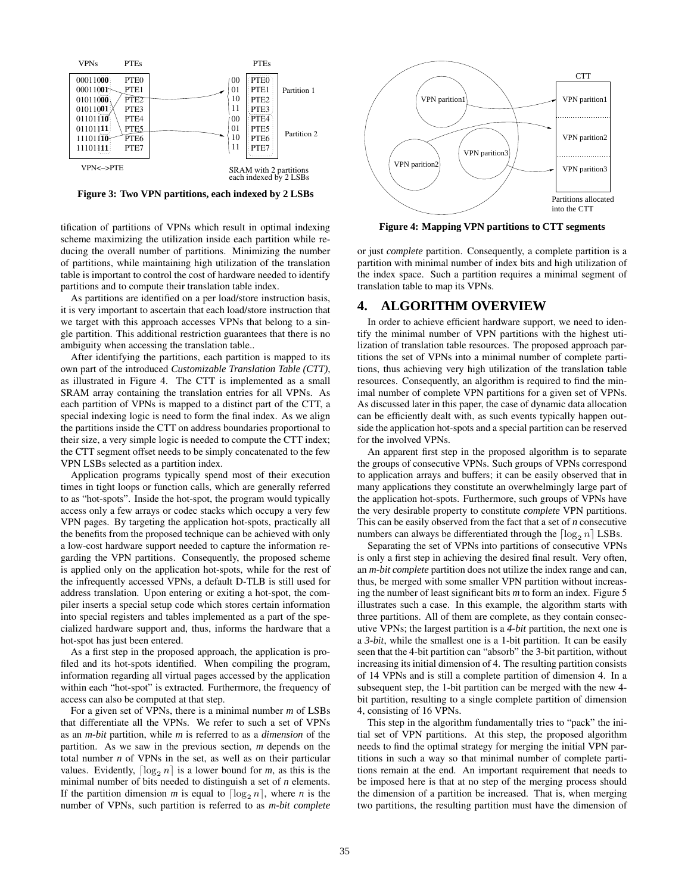

**Figure 3: Two VPN partitions, each indexed by 2 LSBs**

tification of partitions of VPNs which result in optimal indexing scheme maximizing the utilization inside each partition while reducing the overall number of partitions. Minimizing the number of partitions, while maintaining high utilization of the translation table is important to control the cost of hardware needed to identify partitions and to compute their translation table index.

As partitions are identified on a per load/store instruction basis, it is very important to ascertain that each load/store instruction that we target with this approach accesses VPNs that belong to a single partition. This additional restriction guarantees that there is no ambiguity when accessing the translation table..

After identifying the partitions, each partition is mapped to its own part of the introduced *Customizable Translation Table (CTT)*, as illustrated in Figure 4. The CTT is implemented as a small SRAM array containing the translation entries for all VPNs. As each partition of VPNs is mapped to a distinct part of the CTT, a special indexing logic is need to form the final index. As we align the partitions inside the CTT on address boundaries proportional to their size, a very simple logic is needed to compute the CTT index; the CTT segment offset needs to be simply concatenated to the few VPN LSBs selected as a partition index.

Application programs typically spend most of their execution times in tight loops or function calls, which are generally referred to as "hot-spots". Inside the hot-spot, the program would typically access only a few arrays or codec stacks which occupy a very few VPN pages. By targeting the application hot-spots, practically all the benefits from the proposed technique can be achieved with only a low-cost hardware support needed to capture the information regarding the VPN partitions. Consequently, the proposed scheme is applied only on the application hot-spots, while for the rest of the infrequently accessed VPNs, a default D-TLB is still used for address translation. Upon entering or exiting a hot-spot, the compiler inserts a special setup code which stores certain information into special registers and tables implemented as a part of the specialized hardware support and, thus, informs the hardware that a hot-spot has just been entered.

As a first step in the proposed approach, the application is profiled and its hot-spots identified. When compiling the program, information regarding all virtual pages accessed by the application within each "hot-spot" is extracted. Furthermore, the frequency of access can also be computed at that step.

For a given set of VPNs, there is a minimal number *m* of LSBs that differentiate all the VPNs. We refer to such a set of VPNs as an *m-bit* partition, while *m* is referred to as a *dimension* of the partition. As we saw in the previous section, *m* depends on the total number *n* of VPNs in the set, as well as on their particular values. Evidently,  $\lceil \log_2 n \rceil$  is a lower bound for *m*, as this is the minimal number of bits needed to distinguish a set of *n* elements. If the partition dimension *m* is equal to  $\lceil \log_2 n \rceil$ , where *n* is the number of VPNs, such partition is referred to as *m-bit complete*



**Figure 4: Mapping VPN partitions to CTT segments**

or just *complete* partition. Consequently, a complete partition is a partition with minimal number of index bits and high utilization of the index space. Such a partition requires a minimal segment of translation table to map its VPNs.

#### **4. ALGORITHM OVERVIEW**

In order to achieve efficient hardware support, we need to identify the minimal number of VPN partitions with the highest utilization of translation table resources. The proposed approach partitions the set of VPNs into a minimal number of complete partitions, thus achieving very high utilization of the translation table resources. Consequently, an algorithm is required to find the minimal number of complete VPN partitions for a given set of VPNs. As discussed later in this paper, the case of dynamic data allocation can be efficiently dealt with, as such events typically happen outside the application hot-spots and a special partition can be reserved for the involved VPNs.

An apparent first step in the proposed algorithm is to separate the groups of consecutive VPNs. Such groups of VPNs correspond to application arrays and buffers; it can be easily observed that in many applications they constitute an overwhelmingly large part of the application hot-spots. Furthermore, such groups of VPNs have the very desirable property to constitute *complete* VPN partitions. This can be easily observed from the fact that a set of *n* consecutive numbers can always be differentiated through the  $\lceil \log_2 n \rceil$  LSBs.

Separating the set of VPNs into partitions of consecutive VPNs is only a first step in achieving the desired final result. Very often, an *m-bit complete* partition does not utilize the index range and can, thus, be merged with some smaller VPN partition without increasing the number of least significant bits *m* to form an index. Figure 5 illustrates such a case. In this example, the algorithm starts with three partitions. All of them are complete, as they contain consecutive VPNs; the largest partition is a *4-bit* partition, the next one is a *3-bit*, while the smallest one is a 1-bit partition. It can be easily seen that the 4-bit partition can "absorb" the 3-bit partition, without increasing its initial dimension of 4. The resulting partition consists of 14 VPNs and is still a complete partition of dimension 4. In a subsequent step, the 1-bit partition can be merged with the new 4 bit partition, resulting to a single complete partition of dimension 4, consisting of 16 VPNs.

This step in the algorithm fundamentally tries to "pack" the initial set of VPN partitions. At this step, the proposed algorithm needs to find the optimal strategy for merging the initial VPN partitions in such a way so that minimal number of complete partitions remain at the end. An important requirement that needs to be imposed here is that at no step of the merging process should the dimension of a partition be increased. That is, when merging two partitions, the resulting partition must have the dimension of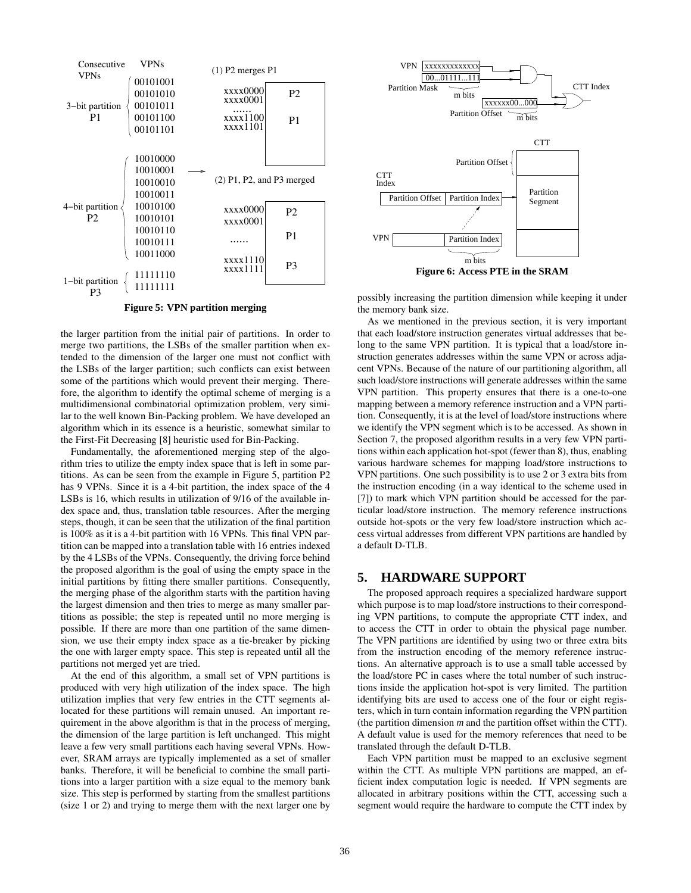

**Figure 5: VPN partition merging**

the larger partition from the initial pair of partitions. In order to merge two partitions, the LSBs of the smaller partition when extended to the dimension of the larger one must not conflict with the LSBs of the larger partition; such conflicts can exist between some of the partitions which would prevent their merging. Therefore, the algorithm to identify the optimal scheme of merging is a multidimensional combinatorial optimization problem, very similar to the well known Bin-Packing problem. We have developed an algorithm which in its essence is a heuristic, somewhat similar to the First-Fit Decreasing [8] heuristic used for Bin-Packing.

Fundamentally, the aforementioned merging step of the algorithm tries to utilize the empty index space that is left in some partitions. As can be seen from the example in Figure 5, partition P2 has 9 VPNs. Since it is a 4-bit partition, the index space of the 4 LSBs is 16, which results in utilization of 9/16 of the available index space and, thus, translation table resources. After the merging steps, though, it can be seen that the utilization of the final partition is 100% as it is a 4-bit partition with 16 VPNs. This final VPN partition can be mapped into a translation table with 16 entries indexed by the 4 LSBs of the VPNs. Consequently, the driving force behind the proposed algorithm is the goal of using the empty space in the initial partitions by fitting there smaller partitions. Consequently, the merging phase of the algorithm starts with the partition having the largest dimension and then tries to merge as many smaller partitions as possible; the step is repeated until no more merging is possible. If there are more than one partition of the same dimension, we use their empty index space as a tie-breaker by picking the one with larger empty space. This step is repeated until all the partitions not merged yet are tried.

At the end of this algorithm, a small set of VPN partitions is produced with very high utilization of the index space. The high utilization implies that very few entries in the CTT segments allocated for these partitions will remain unused. An important requirement in the above algorithm is that in the process of merging, the dimension of the large partition is left unchanged. This might leave a few very small partitions each having several VPNs. However, SRAM arrays are typically implemented as a set of smaller banks. Therefore, it will be beneficial to combine the small partitions into a larger partition with a size equal to the memory bank size. This step is performed by starting from the smallest partitions (size 1 or 2) and trying to merge them with the next larger one by



**Figure 6: Access PTE in the SRAM**

possibly increasing the partition dimension while keeping it under the memory bank size.

As we mentioned in the previous section, it is very important that each load/store instruction generates virtual addresses that belong to the same VPN partition. It is typical that a load/store instruction generates addresses within the same VPN or across adjacent VPNs. Because of the nature of our partitioning algorithm, all such load/store instructions will generate addresses within the same VPN partition. This property ensures that there is a one-to-one mapping between a memory reference instruction and a VPN partition. Consequently, it is at the level of load/store instructions where we identify the VPN segment which is to be accessed. As shown in Section 7, the proposed algorithm results in a very few VPN partitions within each application hot-spot (fewer than 8), thus, enabling various hardware schemes for mapping load/store instructions to VPN partitions. One such possibility is to use 2 or 3 extra bits from the instruction encoding (in a way identical to the scheme used in [7]) to mark which VPN partition should be accessed for the particular load/store instruction. The memory reference instructions outside hot-spots or the very few load/store instruction which access virtual addresses from different VPN partitions are handled by a default D-TLB.

## **5. HARDWARE SUPPORT**

The proposed approach requires a specialized hardware support which purpose is to map load/store instructions to their corresponding VPN partitions, to compute the appropriate CTT index, and to access the CTT in order to obtain the physical page number. The VPN partitions are identified by using two or three extra bits from the instruction encoding of the memory reference instructions. An alternative approach is to use a small table accessed by the load/store PC in cases where the total number of such instructions inside the application hot-spot is very limited. The partition identifying bits are used to access one of the four or eight registers, which in turn contain information regarding the VPN partition (the partition dimension *m* and the partition offset within the CTT). A default value is used for the memory references that need to be translated through the default D-TLB.

Each VPN partition must be mapped to an exclusive segment within the CTT. As multiple VPN partitions are mapped, an efficient index computation logic is needed. If VPN segments are allocated in arbitrary positions within the CTT, accessing such a segment would require the hardware to compute the CTT index by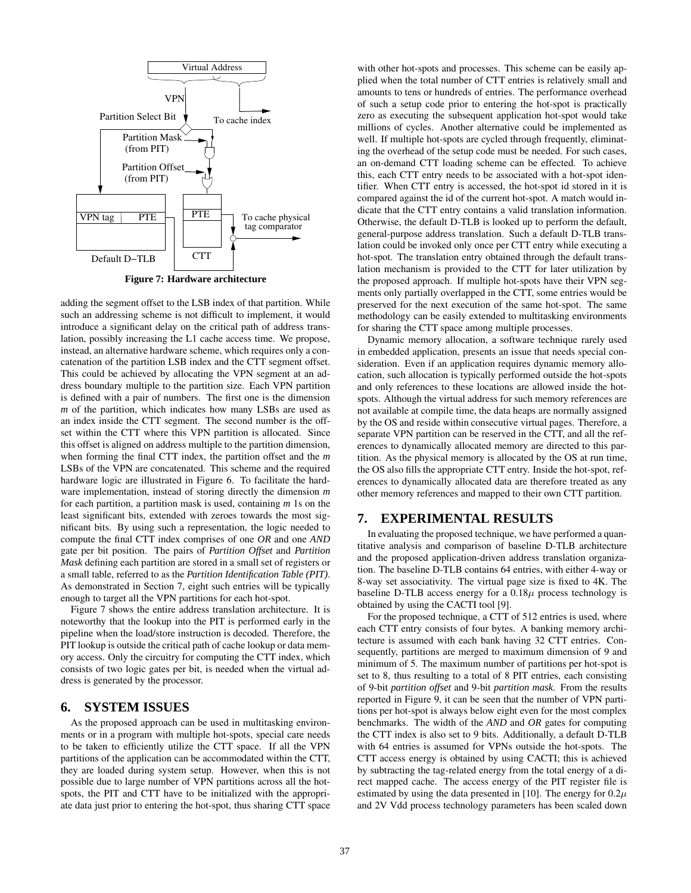

**Figure 7: Hardware architecture**

adding the segment offset to the LSB index of that partition. While such an addressing scheme is not difficult to implement, it would introduce a significant delay on the critical path of address translation, possibly increasing the L1 cache access time. We propose, instead, an alternative hardware scheme, which requires only a concatenation of the partition LSB index and the CTT segment offset. This could be achieved by allocating the VPN segment at an address boundary multiple to the partition size. Each VPN partition is defined with a pair of numbers. The first one is the dimension *m* of the partition, which indicates how many LSBs are used as an index inside the CTT segment. The second number is the offset within the CTT where this VPN partition is allocated. Since this offset is aligned on address multiple to the partition dimension, when forming the final CTT index, the partition offset and the *m* LSBs of the VPN are concatenated. This scheme and the required hardware logic are illustrated in Figure 6. To facilitate the hardware implementation, instead of storing directly the dimension *m* for each partition, a partition mask is used, containing *m* 1s on the least significant bits, extended with zeroes towards the most significant bits. By using such a representation, the logic needed to compute the final CTT index comprises of one *OR* and one *AND* gate per bit position. The pairs of *Partition Offset* and *Partition Mask* defining each partition are stored in a small set of registers or a small table, referred to as the *Partition Identification Table (PIT)*. As demonstrated in Section 7, eight such entries will be typically enough to target all the VPN partitions for each hot-spot.

Figure 7 shows the entire address translation architecture. It is noteworthy that the lookup into the PIT is performed early in the pipeline when the load/store instruction is decoded. Therefore, the PIT lookup is outside the critical path of cache lookup or data memory access. Only the circuitry for computing the CTT index, which consists of two logic gates per bit, is needed when the virtual address is generated by the processor.

## **6. SYSTEM ISSUES**

As the proposed approach can be used in multitasking environments or in a program with multiple hot-spots, special care needs to be taken to efficiently utilize the CTT space. If all the VPN partitions of the application can be accommodated within the CTT, they are loaded during system setup. However, when this is not possible due to large number of VPN partitions across all the hotspots, the PIT and CTT have to be initialized with the appropriate data just prior to entering the hot-spot, thus sharing CTT space with other hot-spots and processes. This scheme can be easily applied when the total number of CTT entries is relatively small and amounts to tens or hundreds of entries. The performance overhead of such a setup code prior to entering the hot-spot is practically zero as executing the subsequent application hot-spot would take millions of cycles. Another alternative could be implemented as well. If multiple hot-spots are cycled through frequently, eliminating the overhead of the setup code must be needed. For such cases, an on-demand CTT loading scheme can be effected. To achieve this, each CTT entry needs to be associated with a hot-spot identifier. When CTT entry is accessed, the hot-spot id stored in it is compared against the id of the current hot-spot. A match would indicate that the CTT entry contains a valid translation information. Otherwise, the default D-TLB is looked up to perform the default, general-purpose address translation. Such a default D-TLB translation could be invoked only once per CTT entry while executing a hot-spot. The translation entry obtained through the default translation mechanism is provided to the CTT for later utilization by the proposed approach. If multiple hot-spots have their VPN segments only partially overlapped in the CTT, some entries would be preserved for the next execution of the same hot-spot. The same methodology can be easily extended to multitasking environments for sharing the CTT space among multiple processes.

Dynamic memory allocation, a software technique rarely used in embedded application, presents an issue that needs special consideration. Even if an application requires dynamic memory allocation, such allocation is typically performed outside the hot-spots and only references to these locations are allowed inside the hotspots. Although the virtual address for such memory references are not available at compile time, the data heaps are normally assigned by the OS and reside within consecutive virtual pages. Therefore, a separate VPN partition can be reserved in the CTT, and all the references to dynamically allocated memory are directed to this partition. As the physical memory is allocated by the OS at run time, the OS also fills the appropriate CTT entry. Inside the hot-spot, references to dynamically allocated data are therefore treated as any other memory references and mapped to their own CTT partition.

# **7. EXPERIMENTAL RESULTS**

In evaluating the proposed technique, we have performed a quantitative analysis and comparison of baseline D-TLB architecture and the proposed application-driven address translation organization. The baseline D-TLB contains 64 entries, with either 4-way or 8-way set associativity. The virtual page size is fixed to 4K. The baseline D-TLB access energy for a  $0.18\mu$  process technology is obtained by using the CACTI tool [9].

For the proposed technique, a CTT of 512 entries is used, where each CTT entry consists of four bytes. A banking memory architecture is assumed with each bank having 32 CTT entries. Consequently, partitions are merged to maximum dimension of 9 and minimum of 5. The maximum number of partitions per hot-spot is set to 8, thus resulting to a total of 8 PIT entries, each consisting of 9-bit *partition offset* and 9-bit *partition mask*. From the results reported in Figure 9, it can be seen that the number of VPN partitions per hot-spot is always below eight even for the most complex benchmarks. The width of the *AND* and *OR* gates for computing the CTT index is also set to 9 bits. Additionally, a default D-TLB with 64 entries is assumed for VPNs outside the hot-spots. The CTT access energy is obtained by using CACTI; this is achieved by subtracting the tag-related energy from the total energy of a direct mapped cache. The access energy of the PIT register file is estimated by using the data presented in [10]. The energy for  $0.2\mu$ and 2V Vdd process technology parameters has been scaled down